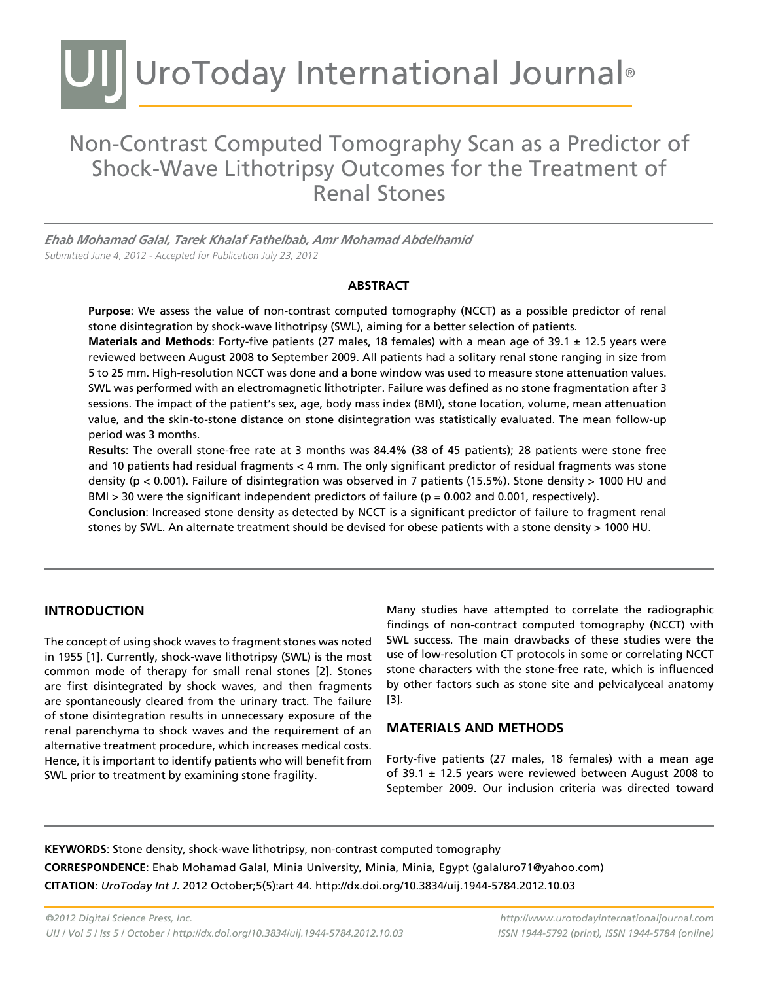# UIJ UroToday International Journal®

# Non-Contrast Computed Tomography Scan as a Predictor of Shock-Wave Lithotripsy Outcomes for the Treatment of Renal Stones

*Ehab Mohamad Galal, Tarek Khalaf Fathelbab, Amr Mohamad Abdelhamid*  Submitted June 4, 2012 - Accepted for Publication July 23, 2012

#### **ABSTRACT**

**Purpose**: We assess the value of non-contrast computed tomography (NCCT) as a possible predictor of renal stone disintegration by shock-wave lithotripsy (SWL), aiming for a better selection of patients.

**Materials and Methods**: Forty-five patients (27 males, 18 females) with a mean age of 39.1 ± 12.5 years were reviewed between August 2008 to September 2009. All patients had a solitary renal stone ranging in size from 5 to 25 mm. High-resolution NCCT was done and a bone window was used to measure stone attenuation values. SWL was performed with an electromagnetic lithotripter. Failure was defined as no stone fragmentation after 3 sessions. The impact of the patient's sex, age, body mass index (BMI), stone location, volume, mean attenuation value, and the skin-to-stone distance on stone disintegration was statistically evaluated. The mean follow-up period was 3 months.

**Results**: The overall stone-free rate at 3 months was 84.4% (38 of 45 patients); 28 patients were stone free and 10 patients had residual fragments < 4 mm. The only significant predictor of residual fragments was stone density (p < 0.001). Failure of disintegration was observed in 7 patients (15.5%). Stone density > 1000 HU and BMI > 30 were the significant independent predictors of failure ( $p = 0.002$  and 0.001, respectively).

**Conclusion**: Increased stone density as detected by NCCT is a significant predictor of failure to fragment renal stones by SWL. An alternate treatment should be devised for obese patients with a stone density > 1000 HU.

## **Introduction**

The concept of using shock waves to fragment stones was noted in 1955 [1]. Currently, shock-wave lithotripsy (SWL) is the most common mode of therapy for small renal stones [2]. Stones are first disintegrated by shock waves, and then fragments are spontaneously cleared from the urinary tract. The failure of stone disintegration results in unnecessary exposure of the renal parenchyma to shock waves and the requirement of an alternative treatment procedure, which increases medical costs. Hence, it is important to identify patients who will benefit from SWL prior to treatment by examining stone fragility.

Many studies have attempted to correlate the radiographic findings of non-contract computed tomography (NCCT) with SWL success. The main drawbacks of these studies were the use of low-resolution CT protocols in some or correlating NCCT stone characters with the stone-free rate, which is influenced by other factors such as stone site and pelvicalyceal anatomy [3].

## **MATERIALS AND METHODS**

Forty-five patients (27 males, 18 females) with a mean age of 39.1  $\pm$  12.5 years were reviewed between August 2008 to September 2009. Our inclusion criteria was directed toward

**KEYWORDS**: Stone density, shock-wave lithotripsy, non-contrast computed tomography **CORRESPONDENCE**: Ehab Mohamad Galal, Minia University, Minia, Minia, Egypt (galaluro71@yahoo.com) **CITATION**: *UroToday Int J*. 2012 October;5(5):art 44. http://dx.doi.org/10.3834/uij.1944-5784.2012.10.03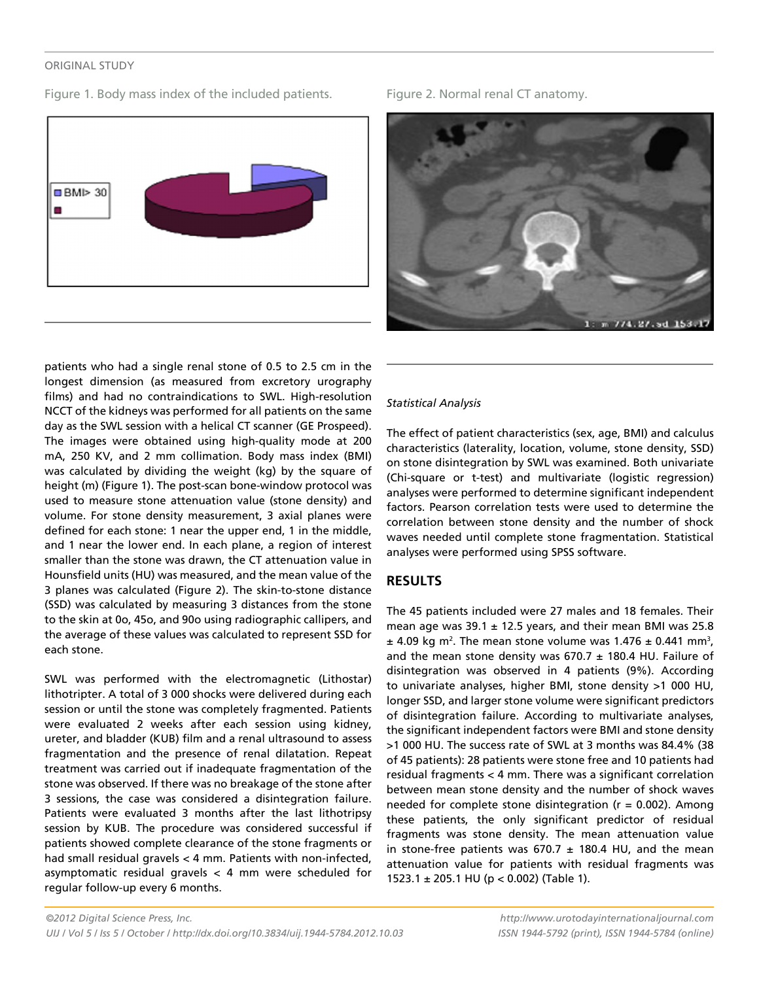#### original study

Figure 1. Body mass index of the included patients. Figure 2. Normal renal CT anatomy.





patients who had a single renal stone of 0.5 to 2.5 cm in the longest dimension (as measured from excretory urography films) and had no contraindications to SWL. High-resolution NCCT of the kidneys was performed for all patients on the same day as the SWL session with a helical CT scanner (GE Prospeed). The images were obtained using high-quality mode at 200 mA, 250 KV, and 2 mm collimation. Body mass index (BMI) was calculated by dividing the weight (kg) by the square of height (m) (Figure 1). The post-scan bone-window protocol was used to measure stone attenuation value (stone density) and volume. For stone density measurement, 3 axial planes were defined for each stone: 1 near the upper end, 1 in the middle, and 1 near the lower end. In each plane, a region of interest smaller than the stone was drawn, the CT attenuation value in Hounsfield units (HU) was measured, and the mean value of the 3 planes was calculated (Figure 2). The skin-to-stone distance (SSD) was calculated by measuring 3 distances from the stone to the skin at 0o, 45o, and 90o using radiographic callipers, and the average of these values was calculated to represent SSD for each stone.

SWL was performed with the electromagnetic (Lithostar) lithotripter. A total of 3 000 shocks were delivered during each session or until the stone was completely fragmented. Patients were evaluated 2 weeks after each session using kidney, ureter, and bladder (KUB) film and a renal ultrasound to assess fragmentation and the presence of renal dilatation. Repeat treatment was carried out if inadequate fragmentation of the stone was observed. If there was no breakage of the stone after 3 sessions, the case was considered a disintegration failure. Patients were evaluated 3 months after the last lithotripsy session by KUB. The procedure was considered successful if patients showed complete clearance of the stone fragments or had small residual gravels < 4 mm. Patients with non-infected, asymptomatic residual gravels < 4 mm were scheduled for regular follow-up every 6 months.

#### *Statistical Analysis*

The effect of patient characteristics (sex, age, BMI) and calculus characteristics (laterality, location, volume, stone density, SSD) on stone disintegration by SWL was examined. Both univariate (Chi-square or t-test) and multivariate (logistic regression) analyses were performed to determine significant independent factors. Pearson correlation tests were used to determine the correlation between stone density and the number of shock waves needed until complete stone fragmentation. Statistical analyses were performed using SPSS software.

## **RESULTS**

The 45 patients included were 27 males and 18 females. Their mean age was  $39.1 \pm 12.5$  years, and their mean BMI was 25.8  $\pm$  4.09 kg m<sup>2</sup>. The mean stone volume was 1.476  $\pm$  0.441 mm<sup>3</sup>, and the mean stone density was  $670.7 \pm 180.4$  HU. Failure of disintegration was observed in 4 patients (9%). According to univariate analyses, higher BMI, stone density >1 000 HU, longer SSD, and larger stone volume were significant predictors of disintegration failure. According to multivariate analyses, the significant independent factors were BMI and stone density >1 000 HU. The success rate of SWL at 3 months was 84.4% (38 of 45 patients): 28 patients were stone free and 10 patients had residual fragments < 4 mm. There was a significant correlation between mean stone density and the number of shock waves needed for complete stone disintegration ( $r = 0.002$ ). Among these patients, the only significant predictor of residual fragments was stone density. The mean attenuation value in stone-free patients was  $670.7 \pm 180.4$  HU, and the mean attenuation value for patients with residual fragments was 1523.1 ± 205.1 HU (p < 0.002) (Table 1).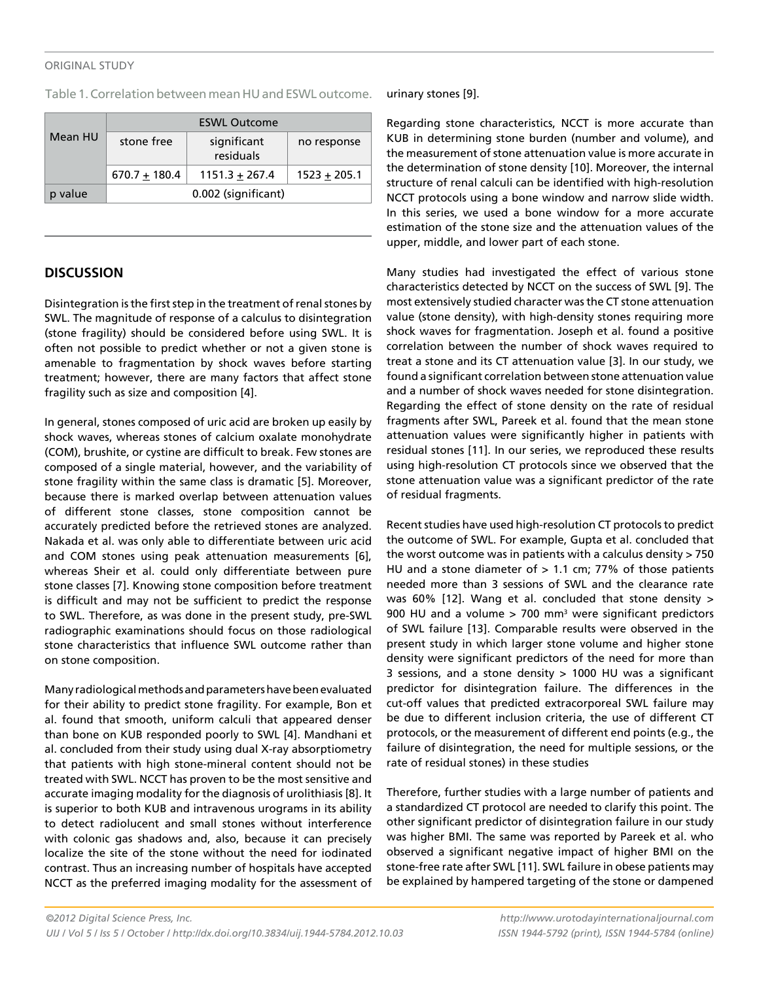#### original study

Table 1. Correlation between mean HU and ESWL outcome.

| Mean HU | <b>ESWL Outcome</b> |                          |                |
|---------|---------------------|--------------------------|----------------|
|         | stone free          | significant<br>residuals | no response    |
|         | $670.7 + 180.4$     | $1151.3 + 267.4$         | $1523 + 205.1$ |
| p value | 0.002 (significant) |                          |                |

## **DISCUSSION**

Disintegration is the first step in the treatment of renal stones by SWL. The magnitude of response of a calculus to disintegration (stone fragility) should be considered before using SWL. It is often not possible to predict whether or not a given stone is amenable to fragmentation by shock waves before starting treatment; however, there are many factors that affect stone fragility such as size and composition [4].

In general, stones composed of uric acid are broken up easily by shock waves, whereas stones of calcium oxalate monohydrate (COM), brushite, or cystine are difficult to break. Few stones are composed of a single material, however, and the variability of stone fragility within the same class is dramatic [5]. Moreover, because there is marked overlap between attenuation values of different stone classes, stone composition cannot be accurately predicted before the retrieved stones are analyzed. Nakada et al. was only able to differentiate between uric acid and COM stones using peak attenuation measurements [6], whereas Sheir et al. could only differentiate between pure stone classes [7]. Knowing stone composition before treatment is difficult and may not be sufficient to predict the response to SWL. Therefore, as was done in the present study, pre-SWL radiographic examinations should focus on those radiological stone characteristics that influence SWL outcome rather than on stone composition.

Many radiological methods and parameters have been evaluated for their ability to predict stone fragility. For example, Bon et al. found that smooth, uniform calculi that appeared denser than bone on KUB responded poorly to SWL [4]. Mandhani et al. concluded from their study using dual X-ray absorptiometry that patients with high stone-mineral content should not be treated with SWL. NCCT has proven to be the most sensitive and accurate imaging modality for the diagnosis of urolithiasis [8]. It is superior to both KUB and intravenous urograms in its ability to detect radiolucent and small stones without interference with colonic gas shadows and, also, because it can precisely localize the site of the stone without the need for iodinated contrast. Thus an increasing number of hospitals have accepted NCCT as the preferred imaging modality for the assessment of urinary stones [9].

Regarding stone characteristics, NCCT is more accurate than KUB in determining stone burden (number and volume), and the measurement of stone attenuation value is more accurate in the determination of stone density [10]. Moreover, the internal structure of renal calculi can be identified with high-resolution NCCT protocols using a bone window and narrow slide width. In this series, we used a bone window for a more accurate estimation of the stone size and the attenuation values of the upper, middle, and lower part of each stone.

Many studies had investigated the effect of various stone characteristics detected by NCCT on the success of SWL [9]. The most extensively studied character was the CT stone attenuation value (stone density), with high-density stones requiring more shock waves for fragmentation. Joseph et al. found a positive correlation between the number of shock waves required to treat a stone and its CT attenuation value [3]. In our study, we found a significant correlation between stone attenuation value and a number of shock waves needed for stone disintegration. Regarding the effect of stone density on the rate of residual fragments after SWL, Pareek et al. found that the mean stone attenuation values were significantly higher in patients with residual stones [11]. In our series, we reproduced these results using high-resolution CT protocols since we observed that the stone attenuation value was a significant predictor of the rate of residual fragments.

Recent studies have used high-resolution CT protocols to predict the outcome of SWL. For example, Gupta et al. concluded that the worst outcome was in patients with a calculus density > 750 HU and a stone diameter of  $> 1.1$  cm; 77% of those patients needed more than 3 sessions of SWL and the clearance rate was 60% [12]. Wang et al. concluded that stone density > 900 HU and a volume  $> 700$  mm<sup>3</sup> were significant predictors of SWL failure [13]. Comparable results were observed in the present study in which larger stone volume and higher stone density were significant predictors of the need for more than 3 sessions, and a stone density > 1000 HU was a significant predictor for disintegration failure. The differences in the cut-off values that predicted extracorporeal SWL failure may be due to different inclusion criteria, the use of different CT protocols, or the measurement of different end points (e.g., the failure of disintegration, the need for multiple sessions, or the rate of residual stones) in these studies

Therefore, further studies with a large number of patients and a standardized CT protocol are needed to clarify this point. The other significant predictor of disintegration failure in our study was higher BMI. The same was reported by Pareek et al. who observed a significant negative impact of higher BMI on the stone-free rate after SWL [11]. SWL failure in obese patients may be explained by hampered targeting of the stone or dampened